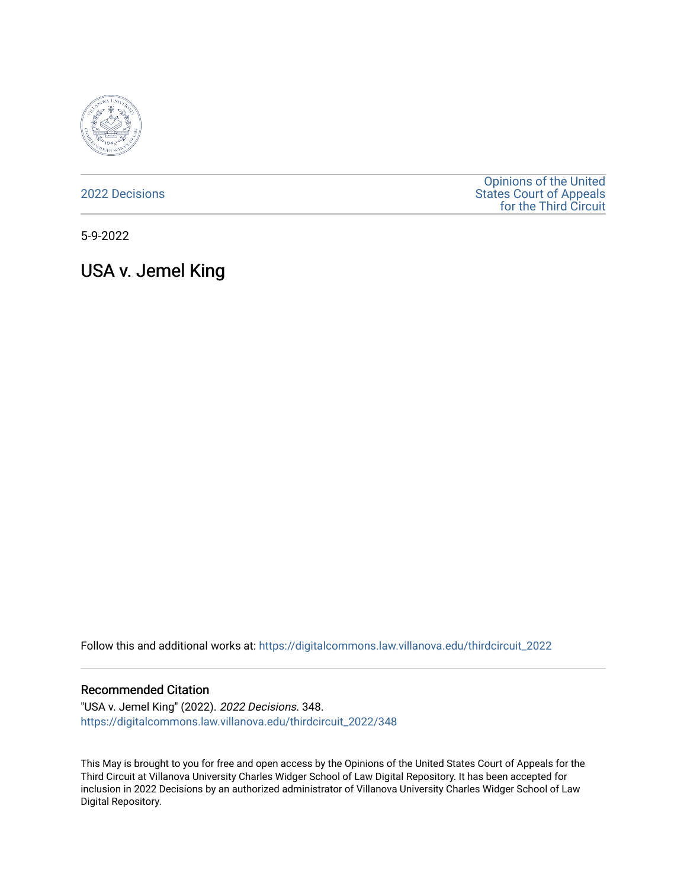

[2022 Decisions](https://digitalcommons.law.villanova.edu/thirdcircuit_2022)

[Opinions of the United](https://digitalcommons.law.villanova.edu/thirdcircuit)  [States Court of Appeals](https://digitalcommons.law.villanova.edu/thirdcircuit)  [for the Third Circuit](https://digitalcommons.law.villanova.edu/thirdcircuit) 

5-9-2022

USA v. Jemel King

Follow this and additional works at: [https://digitalcommons.law.villanova.edu/thirdcircuit\\_2022](https://digitalcommons.law.villanova.edu/thirdcircuit_2022?utm_source=digitalcommons.law.villanova.edu%2Fthirdcircuit_2022%2F348&utm_medium=PDF&utm_campaign=PDFCoverPages) 

#### Recommended Citation

"USA v. Jemel King" (2022). 2022 Decisions. 348. [https://digitalcommons.law.villanova.edu/thirdcircuit\\_2022/348](https://digitalcommons.law.villanova.edu/thirdcircuit_2022/348?utm_source=digitalcommons.law.villanova.edu%2Fthirdcircuit_2022%2F348&utm_medium=PDF&utm_campaign=PDFCoverPages)

This May is brought to you for free and open access by the Opinions of the United States Court of Appeals for the Third Circuit at Villanova University Charles Widger School of Law Digital Repository. It has been accepted for inclusion in 2022 Decisions by an authorized administrator of Villanova University Charles Widger School of Law Digital Repository.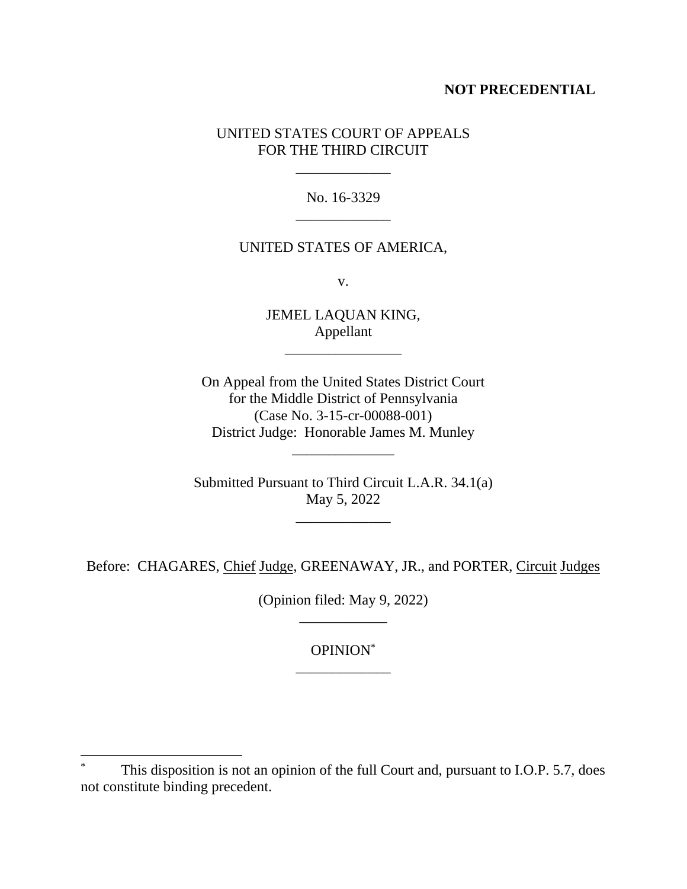## **NOT PRECEDENTIAL**

## UNITED STATES COURT OF APPEALS FOR THE THIRD CIRCUIT

No. 16-3329 \_\_\_\_\_\_\_\_\_\_\_\_\_

\_\_\_\_\_\_\_\_\_\_\_\_\_

### UNITED STATES OF AMERICA,

v.

JEMEL LAQUAN KING, Appellant \_\_\_\_\_\_\_\_\_\_\_\_\_\_\_\_

On Appeal from the United States District Court for the Middle District of Pennsylvania (Case No. 3-15-cr-00088-001) District Judge: Honorable James M. Munley

Submitted Pursuant to Third Circuit L.A.R. 34.1(a) May 5, 2022

\_\_\_\_\_\_\_\_\_\_\_\_\_

\_\_\_\_\_\_\_\_\_\_\_\_\_\_

Before: CHAGARES, Chief Judge, GREENAWAY, JR., and PORTER, Circuit Judges

(Opinion filed: May 9, 2022) \_\_\_\_\_\_\_\_\_\_\_\_

> OPINION\* \_\_\_\_\_\_\_\_\_\_\_\_\_

This disposition is not an opinion of the full Court and, pursuant to I.O.P. 5.7, does not constitute binding precedent.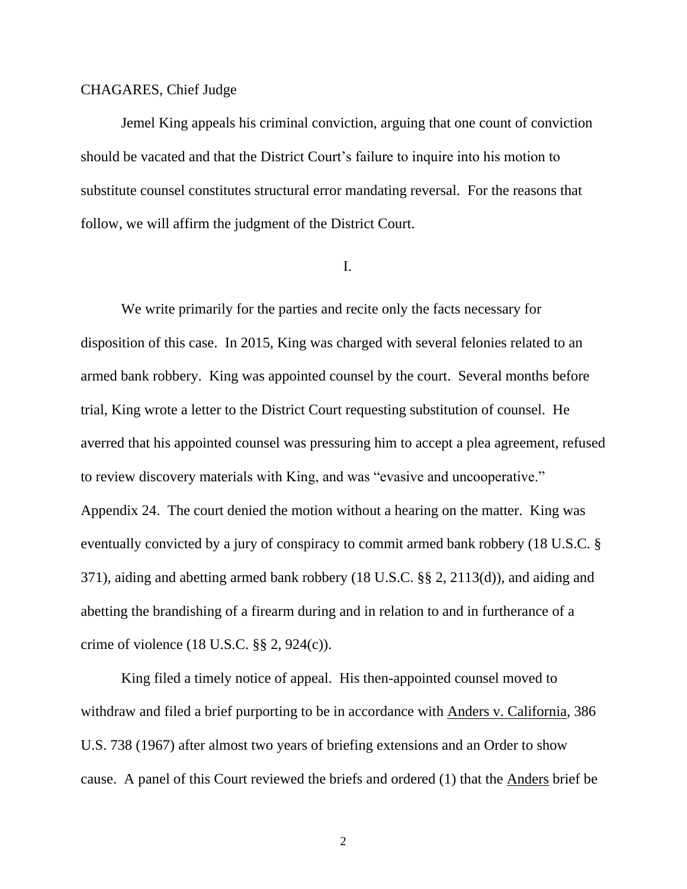### CHAGARES, Chief Judge

Jemel King appeals his criminal conviction, arguing that one count of conviction should be vacated and that the District Court's failure to inquire into his motion to substitute counsel constitutes structural error mandating reversal. For the reasons that follow, we will affirm the judgment of the District Court.

#### I.

We write primarily for the parties and recite only the facts necessary for disposition of this case. In 2015, King was charged with several felonies related to an armed bank robbery. King was appointed counsel by the court. Several months before trial, King wrote a letter to the District Court requesting substitution of counsel. He averred that his appointed counsel was pressuring him to accept a plea agreement, refused to review discovery materials with King, and was "evasive and uncooperative." Appendix 24. The court denied the motion without a hearing on the matter. King was eventually convicted by a jury of conspiracy to commit armed bank robbery (18 U.S.C. § 371), aiding and abetting armed bank robbery (18 U.S.C. §§ 2, 2113(d)), and aiding and abetting the brandishing of a firearm during and in relation to and in furtherance of a crime of violence (18 U.S.C. §§ 2, 924(c)).

King filed a timely notice of appeal. His then-appointed counsel moved to withdraw and filed a brief purporting to be in accordance with Anders v. California, 386 U.S. 738 (1967) after almost two years of briefing extensions and an Order to show cause. A panel of this Court reviewed the briefs and ordered (1) that the Anders brief be

2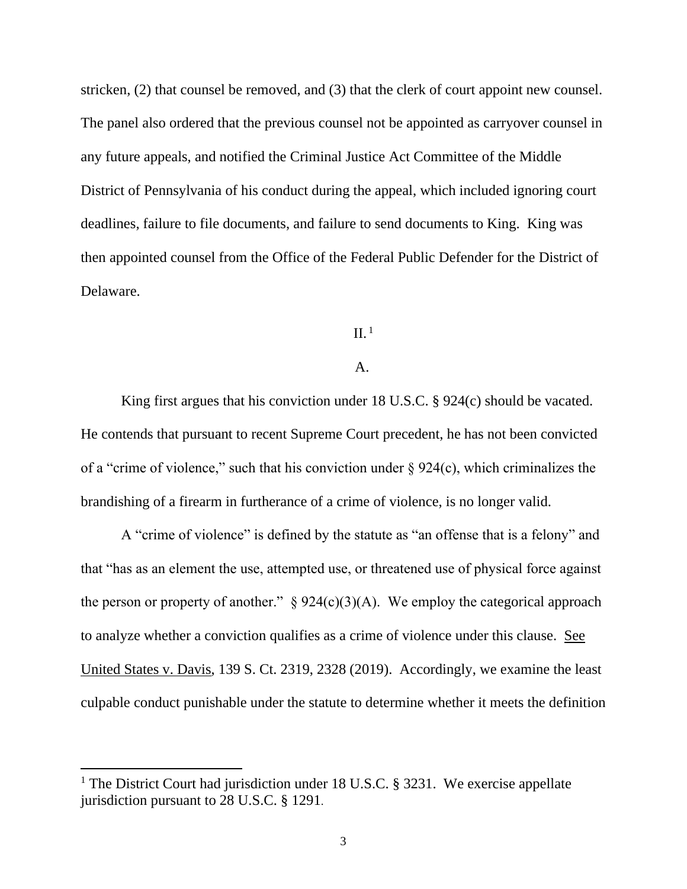stricken, (2) that counsel be removed, and (3) that the clerk of court appoint new counsel. The panel also ordered that the previous counsel not be appointed as carryover counsel in any future appeals, and notified the Criminal Justice Act Committee of the Middle District of Pennsylvania of his conduct during the appeal, which included ignoring court deadlines, failure to file documents, and failure to send documents to King. King was then appointed counsel from the Office of the Federal Public Defender for the District of Delaware.

### $II.$ <sup>1</sup>

#### A.

King first argues that his conviction under 18 U.S.C. § 924(c) should be vacated. He contends that pursuant to recent Supreme Court precedent, he has not been convicted of a "crime of violence," such that his conviction under  $\S 924(c)$ , which criminalizes the brandishing of a firearm in furtherance of a crime of violence, is no longer valid.

A "crime of violence" is defined by the statute as "an offense that is a felony" and that "has as an element the use, attempted use, or threatened use of physical force against the person or property of another."  $\S 924(c)(3)(A)$ . We employ the categorical approach to analyze whether a conviction qualifies as a crime of violence under this clause. See United States v. Davis, 139 S. Ct. 2319, 2328 (2019). Accordingly, we examine the least culpable conduct punishable under the statute to determine whether it meets the definition

<sup>&</sup>lt;sup>1</sup> The District Court had jurisdiction under 18 U.S.C. § 3231. We exercise appellate jurisdiction pursuant to 28 U.S.C. § 1291.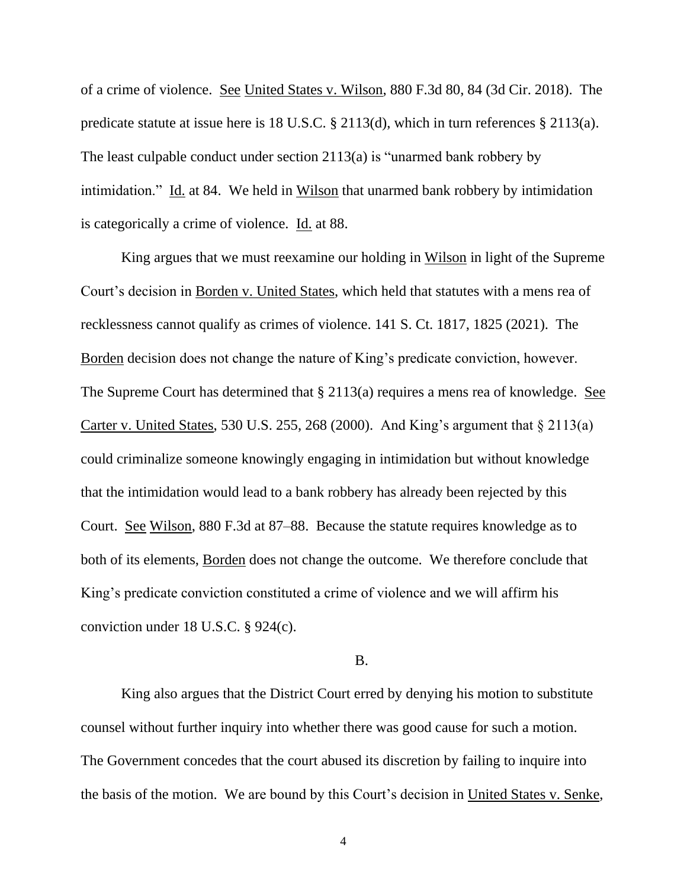of a crime of violence. See United States v. Wilson, 880 F.3d 80, 84 (3d Cir. 2018). The predicate statute at issue here is 18 U.S.C. § 2113(d), which in turn references § 2113(a). The least culpable conduct under section 2113(a) is "unarmed bank robbery by intimidation." Id. at 84. We held in Wilson that unarmed bank robbery by intimidation is categorically a crime of violence. Id. at 88.

King argues that we must reexamine our holding in Wilson in light of the Supreme Court's decision in Borden v. United States, which held that statutes with a mens rea of recklessness cannot qualify as crimes of violence. 141 S. Ct. 1817, 1825 (2021). The Borden decision does not change the nature of King's predicate conviction, however. The Supreme Court has determined that § 2113(a) requires a mens rea of knowledge. See Carter v. United States, 530 U.S. 255, 268 (2000). And King's argument that  $\S 2113(a)$ could criminalize someone knowingly engaging in intimidation but without knowledge that the intimidation would lead to a bank robbery has already been rejected by this Court. See Wilson, 880 F.3d at 87–88. Because the statute requires knowledge as to both of its elements, Borden does not change the outcome. We therefore conclude that King's predicate conviction constituted a crime of violence and we will affirm his conviction under 18 U.S.C. § 924(c).

#### B.

King also argues that the District Court erred by denying his motion to substitute counsel without further inquiry into whether there was good cause for such a motion. The Government concedes that the court abused its discretion by failing to inquire into the basis of the motion. We are bound by this Court's decision in United States v. Senke,

4